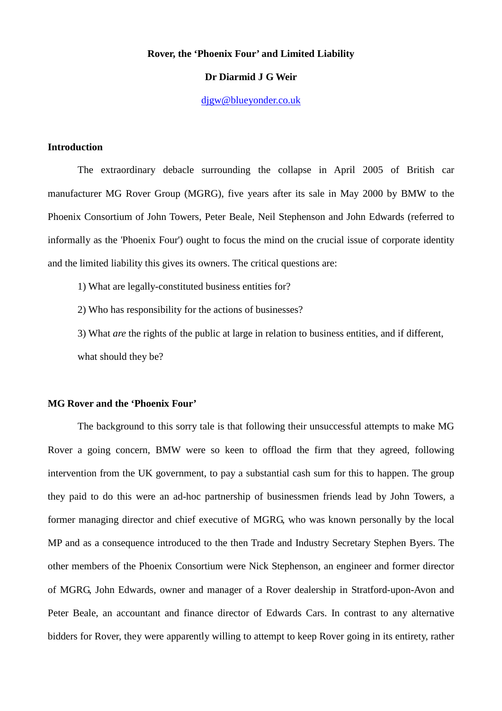# **Rover, the 'Phoenix Four' and Limited Liability**

# **Dr Diarmid J G Weir**

djgw@blueyonder.co.uk

### **Introduction**

The extraordinary debacle surrounding the collapse in April 2005 of British car manufacturer MG Rover Group (MGRG), five years after its sale in May 2000 by BMW to the Phoenix Consortium of John Towers, Peter Beale, Neil Stephenson and John Edwards (referred to informally as the 'Phoenix Four') ought to focus the mind on the crucial issue of corporate identity and the limited liability this gives its owners. The critical questions are:

1) What are legally-constituted business entities for?

2) Who has responsibility for the actions of businesses?

3) What *are* the rights of the public at large in relation to business entities, and if different, what should they be?

### **MG Rover and the 'Phoenix Four'**

The background to this sorry tale is that following their unsuccessful attempts to make MG Rover a going concern, BMW were so keen to offload the firm that they agreed, following intervention from the UK government, to pay a substantial cash sum for this to happen. The group they paid to do this were an ad-hoc partnership of businessmen friends lead by John Towers, a former managing director and chief executive of MGRG, who was known personally by the local MP and as a consequence introduced to the then Trade and Industry Secretary Stephen Byers. The other members of the Phoenix Consortium were Nick Stephenson, an engineer and former director of MGRG, John Edwards, owner and manager of a Rover dealership in Stratford-upon-Avon and Peter Beale, an accountant and finance director of Edwards Cars. In contrast to any alternative bidders for Rover, they were apparently willing to attempt to keep Rover going in its entirety, rather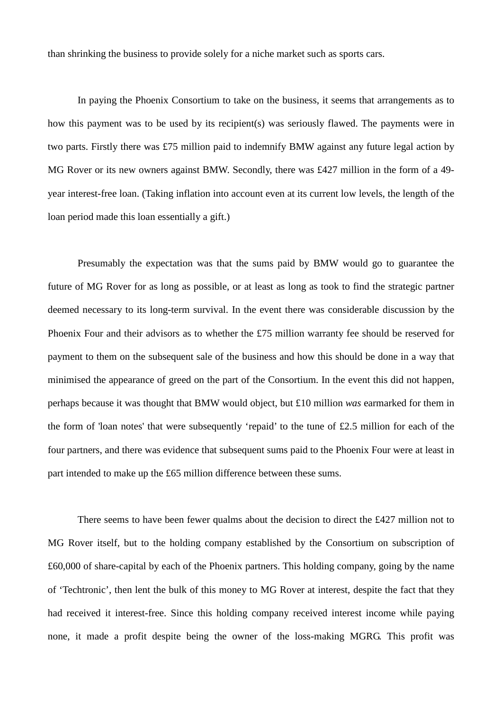than shrinking the business to provide solely for a niche market such as sports cars.

In paying the Phoenix Consortium to take on the business, it seems that arrangements as to how this payment was to be used by its recipient(s) was seriously flawed. The payments were in two parts. Firstly there was £75 million paid to indemnify BMW against any future legal action by MG Rover or its new owners against BMW. Secondly, there was £427 million in the form of a 49year interest-free loan. (Taking inflation into account even at its current low levels, the length of the loan period made this loan essentially a gift.)

Presumably the expectation was that the sums paid by BMW would go to guarantee the future of MG Rover for as long as possible, or at least as long as took to find the strategic partner deemed necessary to its long-term survival. In the event there was considerable discussion by the Phoenix Four and their advisors as to whether the £75 million warranty fee should be reserved for payment to them on the subsequent sale of the business and how this should be done in a way that minimised the appearance of greed on the part of the Consortium. In the event this did not happen, perhaps because it was thought that BMW would object, but £10 million *was* earmarked for them in the form of 'loan notes' that were subsequently 'repaid' to the tune of £2.5 million for each of the four partners, and there was evidence that subsequent sums paid to the Phoenix Four were at least in part intended to make up the £65 million difference between these sums.

There seems to have been fewer qualms about the decision to direct the £427 million not to MG Rover itself, but to the holding company established by the Consortium on subscription of £60,000 of share-capital by each of the Phoenix partners. This holding company, going by the name of 'Techtronic', then lent the bulk of this money to MG Rover at interest, despite the fact that they had received it interest-free. Since this holding company received interest income while paying none, it made a profit despite being the owner of the loss-making MGRG. This profit was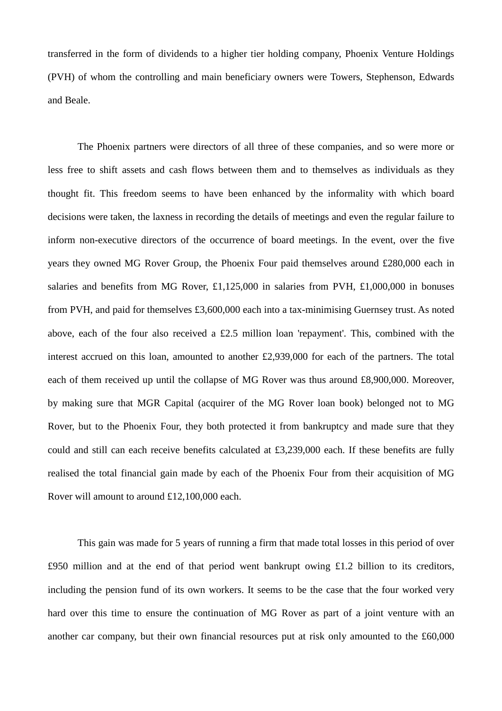transferred in the form of dividends to a higher tier holding company, Phoenix Venture Holdings (PVH) of whom the controlling and main beneficiary owners were Towers, Stephenson, Edwards and Beale.

The Phoenix partners were directors of all three of these companies, and so were more or less free to shift assets and cash flows between them and to themselves as individuals as they thought fit. This freedom seems to have been enhanced by the informality with which board decisions were taken, the laxness in recording the details of meetings and even the regular failure to inform non-executive directors of the occurrence of board meetings. In the event, over the five years they owned MG Rover Group, the Phoenix Four paid themselves around £280,000 each in salaries and benefits from MG Rover, £1,125,000 in salaries from PVH, £1,000,000 in bonuses from PVH, and paid for themselves £3,600,000 each into a tax-minimising Guernsey trust. As noted above, each of the four also received a £2.5 million loan 'repayment'. This, combined with the interest accrued on this loan, amounted to another £2,939,000 for each of the partners. The total each of them received up until the collapse of MG Rover was thus around £8,900,000. Moreover, by making sure that MGR Capital (acquirer of the MG Rover loan book) belonged not to MG Rover, but to the Phoenix Four, they both protected it from bankruptcy and made sure that they could and still can each receive benefits calculated at £3,239,000 each. If these benefits are fully realised the total financial gain made by each of the Phoenix Four from their acquisition of MG Rover will amount to around £12,100,000 each.

This gain was made for 5 years of running a firm that made total losses in this period of over £950 million and at the end of that period went bankrupt owing £1.2 billion to its creditors, including the pension fund of its own workers. It seems to be the case that the four worked very hard over this time to ensure the continuation of MG Rover as part of a joint venture with an another car company, but their own financial resources put at risk only amounted to the £60,000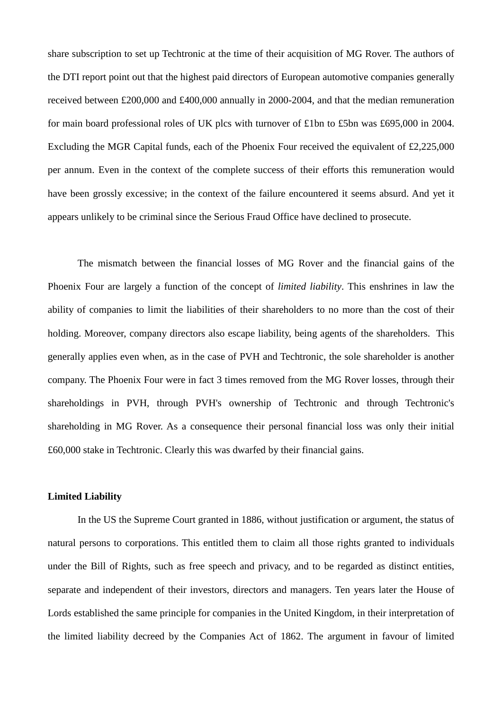share subscription to set up Techtronic at the time of their acquisition of MG Rover. The authors of the DTI report point out that the highest paid directors of European automotive companies generally received between £200,000 and £400,000 annually in 2000-2004, and that the median remuneration for main board professional roles of UK plcs with turnover of £1bn to £5bn was £695,000 in 2004. Excluding the MGR Capital funds, each of the Phoenix Four received the equivalent of £2,225,000 per annum. Even in the context of the complete success of their efforts this remuneration would have been grossly excessive; in the context of the failure encountered it seems absurd. And yet it appears unlikely to be criminal since the Serious Fraud Office have declined to prosecute.

The mismatch between the financial losses of MG Rover and the financial gains of the Phoenix Four are largely a function of the concept of *limited liability*. This enshrines in law the ability of companies to limit the liabilities of their shareholders to no more than the cost of their holding. Moreover, company directors also escape liability, being agents of the shareholders. This generally applies even when, as in the case of PVH and Techtronic, the sole shareholder is another company. The Phoenix Four were in fact 3 times removed from the MG Rover losses, through their shareholdings in PVH, through PVH's ownership of Techtronic and through Techtronic's shareholding in MG Rover. As a consequence their personal financial loss was only their initial £60,000 stake in Techtronic. Clearly this was dwarfed by their financial gains.

# **Limited Liability**

In the US the Supreme Court granted in 1886, without justification or argument, the status of natural persons to corporations. This entitled them to claim all those rights granted to individuals under the Bill of Rights, such as free speech and privacy, and to be regarded as distinct entities, separate and independent of their investors, directors and managers. Ten years later the House of Lords established the same principle for companies in the United Kingdom, in their interpretation of the limited liability decreed by the Companies Act of 1862. The argument in favour of limited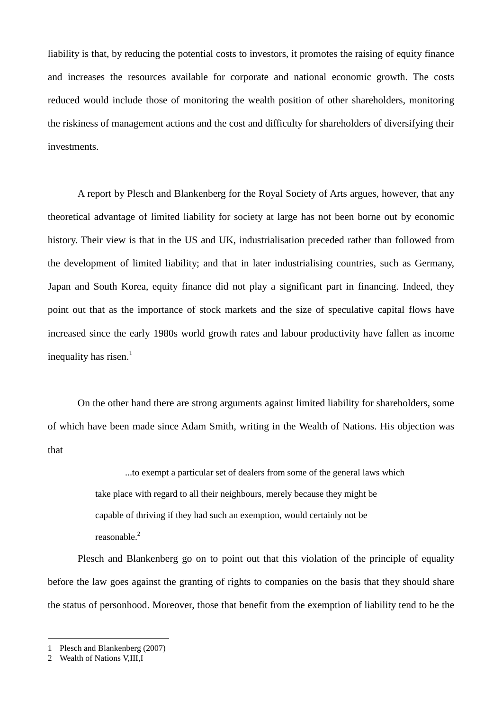liability is that, by reducing the potential costs to investors, it promotes the raising of equity finance and increases the resources available for corporate and national economic growth. The costs reduced would include those of monitoring the wealth position of other shareholders, monitoring the riskiness of management actions and the cost and difficulty for shareholders of diversifying their investments.

A report by Plesch and Blankenberg for the Royal Society of Arts argues, however, that any theoretical advantage of limited liability for society at large has not been borne out by economic history. Their view is that in the US and UK, industrialisation preceded rather than followed from the development of limited liability; and that in later industrialising countries, such as Germany, Japan and South Korea, equity finance did not play a significant part in financing. Indeed, they point out that as the importance of stock markets and the size of speculative capital flows have increased since the early 1980s world growth rates and labour productivity have fallen as income inequality has risen. $<sup>1</sup>$ </sup>

On the other hand there are strong arguments against limited liability for shareholders, some of which have been made since Adam Smith, writing in the Wealth of Nations. His objection was that

> ...to exempt a particular set of dealers from some of the general laws which take place with regard to all their neighbours, merely because they might be capable of thriving if they had such an exemption, would certainly not be reasonable.<sup>2</sup>

Plesch and Blankenberg go on to point out that this violation of the principle of equality before the law goes against the granting of rights to companies on the basis that they should share the status of personhood. Moreover, those that benefit from the exemption of liability tend to be the

 $\overline{a}$ 

<sup>1</sup> Plesch and Blankenberg (2007)

<sup>2</sup> Wealth of Nations V,III,I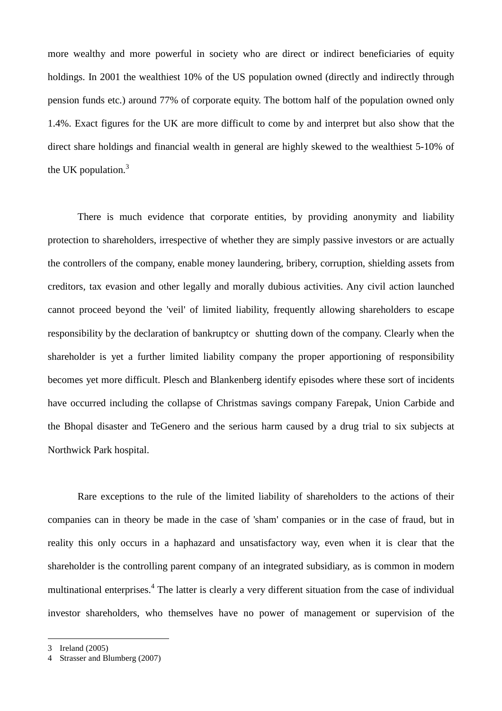more wealthy and more powerful in society who are direct or indirect beneficiaries of equity holdings. In 2001 the wealthiest 10% of the US population owned (directly and indirectly through pension funds etc.) around 77% of corporate equity. The bottom half of the population owned only 1.4%. Exact figures for the UK are more difficult to come by and interpret but also show that the direct share holdings and financial wealth in general are highly skewed to the wealthiest 5-10% of the UK population. $3$ 

There is much evidence that corporate entities, by providing anonymity and liability protection to shareholders, irrespective of whether they are simply passive investors or are actually the controllers of the company, enable money laundering, bribery, corruption, shielding assets from creditors, tax evasion and other legally and morally dubious activities. Any civil action launched cannot proceed beyond the 'veil' of limited liability, frequently allowing shareholders to escape responsibility by the declaration of bankruptcy or shutting down of the company. Clearly when the shareholder is yet a further limited liability company the proper apportioning of responsibility becomes yet more difficult. Plesch and Blankenberg identify episodes where these sort of incidents have occurred including the collapse of Christmas savings company Farepak, Union Carbide and the Bhopal disaster and TeGenero and the serious harm caused by a drug trial to six subjects at Northwick Park hospital.

Rare exceptions to the rule of the limited liability of shareholders to the actions of their companies can in theory be made in the case of 'sham' companies or in the case of fraud, but in reality this only occurs in a haphazard and unsatisfactory way, even when it is clear that the shareholder is the controlling parent company of an integrated subsidiary, as is common in modern multinational enterprises.<sup>4</sup> The latter is clearly a very different situation from the case of individual investor shareholders, who themselves have no power of management or supervision of the

 $\overline{a}$ 

<sup>3</sup> Ireland (2005)

<sup>4</sup> Strasser and Blumberg (2007)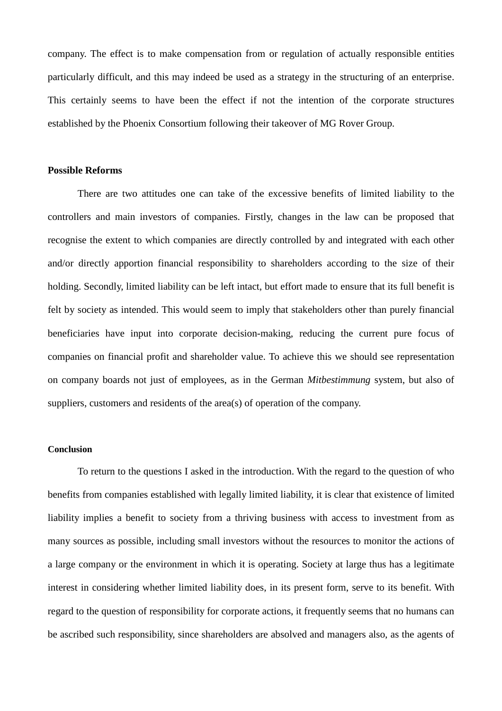company. The effect is to make compensation from or regulation of actually responsible entities particularly difficult, and this may indeed be used as a strategy in the structuring of an enterprise. This certainly seems to have been the effect if not the intention of the corporate structures established by the Phoenix Consortium following their takeover of MG Rover Group.

#### **Possible Reforms**

There are two attitudes one can take of the excessive benefits of limited liability to the controllers and main investors of companies. Firstly, changes in the law can be proposed that recognise the extent to which companies are directly controlled by and integrated with each other and/or directly apportion financial responsibility to shareholders according to the size of their holding. Secondly, limited liability can be left intact, but effort made to ensure that its full benefit is felt by society as intended. This would seem to imply that stakeholders other than purely financial beneficiaries have input into corporate decision-making, reducing the current pure focus of companies on financial profit and shareholder value. To achieve this we should see representation on company boards not just of employees, as in the German *Mitbestimmung* system, but also of suppliers, customers and residents of the area(s) of operation of the company.

## **Conclusion**

To return to the questions I asked in the introduction. With the regard to the question of who benefits from companies established with legally limited liability, it is clear that existence of limited liability implies a benefit to society from a thriving business with access to investment from as many sources as possible, including small investors without the resources to monitor the actions of a large company or the environment in which it is operating. Society at large thus has a legitimate interest in considering whether limited liability does, in its present form, serve to its benefit. With regard to the question of responsibility for corporate actions, it frequently seems that no humans can be ascribed such responsibility, since shareholders are absolved and managers also, as the agents of